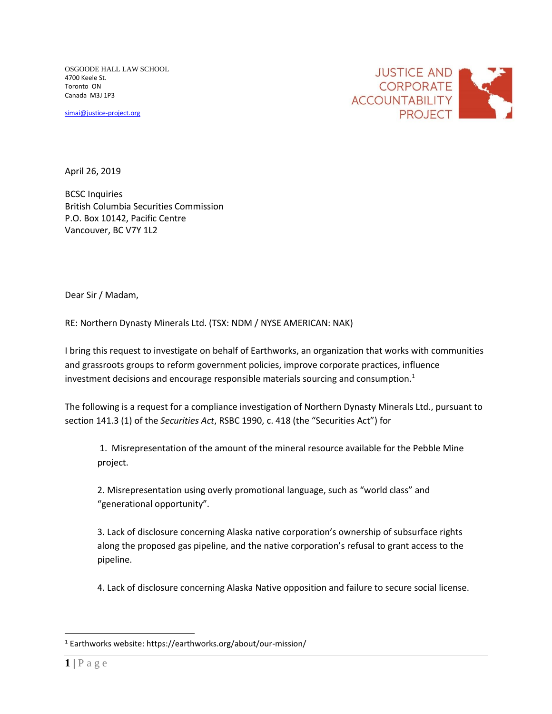OSGOODE HALL LAW SCHOOL 4700 Keele St. Toronto ON Canada M3J 1P3

[simai@justice-project.org](mailto:simai@justice-project.org)



April 26, 2019

BCSC Inquiries British Columbia Securities Commission P.O. Box 10142, Pacific Centre Vancouver, BC V7Y 1L2

Dear Sir / Madam,

RE: Northern Dynasty Minerals Ltd. (TSX: NDM / NYSE AMERICAN: NAK)

I bring this request to investigate on behalf of Earthworks, an organization that works with communities and grassroots groups to reform government policies, improve corporate practices, influence investment decisions and encourage responsible materials sourcing and consumption. $1$ 

The following is a request for a compliance investigation of Northern Dynasty Minerals Ltd., pursuant to section 141.3 (1) of the *Securities Act*, RSBC 1990, c. 418 (the "Securities Act") for

1. Misrepresentation of the amount of the mineral resource available for the Pebble Mine project.

2. Misrepresentation using overly promotional language, such as "world class" and "generational opportunity".

3. Lack of disclosure concerning Alaska native corporation's ownership of subsurface rights along the proposed gas pipeline, and the native corporation's refusal to grant access to the pipeline.

4. Lack of disclosure concerning Alaska Native opposition and failure to secure social license.

<sup>1</sup> Earthworks website: https://earthworks.org/about/our-mission/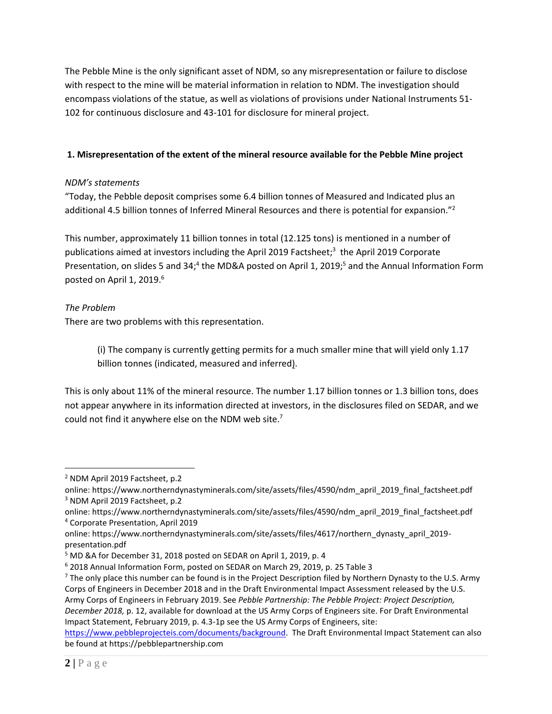The Pebble Mine is the only significant asset of NDM, so any misrepresentation or failure to disclose with respect to the mine will be material information in relation to NDM. The investigation should encompass violations of the statue, as well as violations of provisions under National Instruments 51- 102 for continuous disclosure and 43-101 for disclosure for mineral project.

# **1. Misrepresentation of the extent of the mineral resource available for the Pebble Mine project**

### *NDM's statements*

"Today, the Pebble deposit comprises some 6.4 billion tonnes of Measured and Indicated plus an additional 4.5 billion tonnes of Inferred Mineral Resources and there is potential for expansion."<sup>2</sup>

This number, approximately 11 billion tonnes in total (12.125 tons) is mentioned in a number of publications aimed at investors including the April 2019 Factsheet; 3 the April 2019 Corporate Presentation, on slides 5 and 34;<sup>4</sup> the MD&A posted on April 1, 2019;<sup>5</sup> and the Annual Information Form posted on April 1, 2019.<sup>6</sup>

# *The Problem*

 $\overline{a}$ 

There are two problems with this representation.

(i) The company is currently getting permits for a much smaller mine that will yield only 1.17 billion tonnes (indicated, measured and inferred).

This is only about 11% of the mineral resource. The number 1.17 billion tonnes or 1.3 billion tons, does not appear anywhere in its information directed at investors, in the disclosures filed on SEDAR, and we could not find it anywhere else on the NDM web site. $<sup>7</sup>$ </sup>

[https://www.pebbleprojecteis.com/documents/background.](https://www.pebbleprojecteis.com/documents/background) The Draft Environmental Impact Statement can also be found at https://pebblepartnership.com

<sup>2</sup> NDM April 2019 Factsheet, p.2

online: https://www.northerndynastyminerals.com/site/assets/files/4590/ndm\_april\_2019\_final\_factsheet.pdf <sup>3</sup> NDM April 2019 Factsheet, p.2

online: https://www.northerndynastyminerals.com/site/assets/files/4590/ndm\_april\_2019\_final\_factsheet.pdf <sup>4</sup> Corporate Presentation, April 2019

online: https://www.northerndynastyminerals.com/site/assets/files/4617/northern\_dynasty\_april\_2019 presentation.pdf

<sup>&</sup>lt;sup>5</sup> MD &A for December 31, 2018 posted on SEDAR on April 1, 2019, p. 4

<sup>6</sup> 2018 Annual Information Form, posted on SEDAR on March 29, 2019, p. 25 Table 3

 $<sup>7</sup>$  The only place this number can be found is in the Project Description filed by Northern Dynasty to the U.S. Army</sup> Corps of Engineers in December 2018 and in the Draft Environmental Impact Assessment released by the U.S. Army Corps of Engineers in February 2019. See *Pebble Partnership: The Pebble Project: Project Description, December 2018,* p. 12, available for download at the US Army Corps of Engineers site. For Draft Environmental Impact Statement, February 2019, p. 4.3-1p see the US Army Corps of Engineers, site: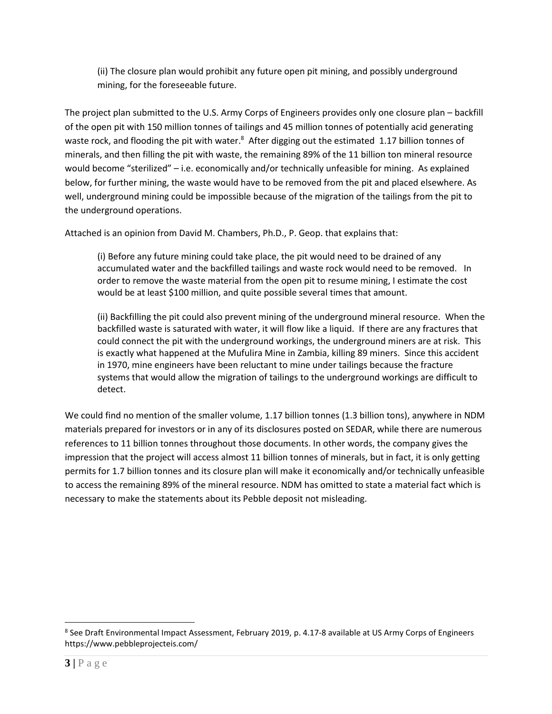(ii) The closure plan would prohibit any future open pit mining, and possibly underground mining, for the foreseeable future.

The project plan submitted to the U.S. Army Corps of Engineers provides only one closure plan – backfill of the open pit with 150 million tonnes of tailings and 45 million tonnes of potentially acid generating waste rock, and flooding the pit with water.<sup>8</sup> After digging out the estimated 1.17 billion tonnes of minerals, and then filling the pit with waste, the remaining 89% of the 11 billion ton mineral resource would become "sterilized" – i.e. economically and/or technically unfeasible for mining. As explained below, for further mining, the waste would have to be removed from the pit and placed elsewhere. As well, underground mining could be impossible because of the migration of the tailings from the pit to the underground operations.

Attached is an opinion from David M. Chambers, Ph.D., P. Geop. that explains that:

(i) Before any future mining could take place, the pit would need to be drained of any accumulated water and the backfilled tailings and waste rock would need to be removed. In order to remove the waste material from the open pit to resume mining, I estimate the cost would be at least \$100 million, and quite possible several times that amount.

(ii) Backfilling the pit could also prevent mining of the underground mineral resource. When the backfilled waste is saturated with water, it will flow like a liquid. If there are any fractures that could connect the pit with the underground workings, the underground miners are at risk. This is exactly what happened at the Mufulira Mine in Zambia, killing 89 miners. Since this accident in 1970, mine engineers have been reluctant to mine under tailings because the fracture systems that would allow the migration of tailings to the underground workings are difficult to detect.

We could find no mention of the smaller volume, 1.17 billion tonnes (1.3 billion tons), anywhere in NDM materials prepared for investors or in any of its disclosures posted on SEDAR, while there are numerous references to 11 billion tonnes throughout those documents. In other words, the company gives the impression that the project will access almost 11 billion tonnes of minerals, but in fact, it is only getting permits for 1.7 billion tonnes and its closure plan will make it economically and/or technically unfeasible to access the remaining 89% of the mineral resource. NDM has omitted to state a material fact which is necessary to make the statements about its Pebble deposit not misleading.

<sup>&</sup>lt;sup>8</sup> See Draft Environmental Impact Assessment, February 2019, p. 4.17-8 available at US Army Corps of Engineers https://www.pebbleprojecteis.com/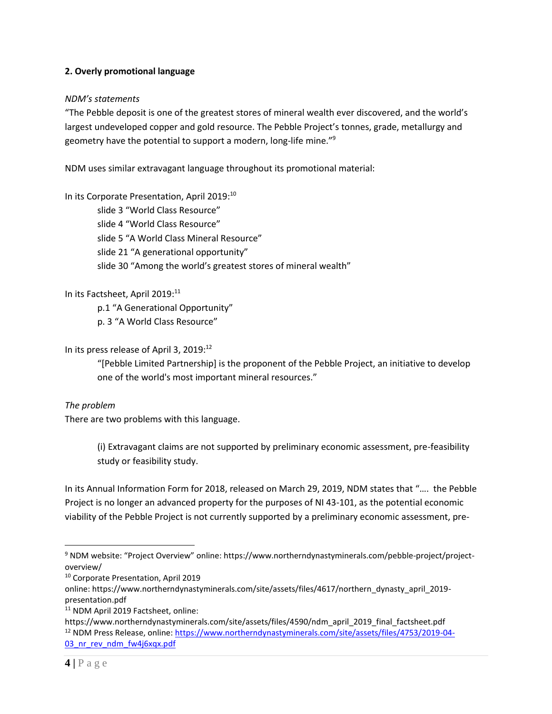#### **2. Overly promotional language**

#### *NDM's statements*

"The Pebble deposit is one of the greatest stores of mineral wealth ever discovered, and the world's largest undeveloped copper and gold resource. The Pebble Project's tonnes, grade, metallurgy and geometry have the potential to support a modern, long-life mine."<sup>9</sup>

NDM uses similar extravagant language throughout its promotional material:

In its Corporate Presentation, April 2019: 10

slide 3 "World Class Resource" slide 4 "World Class Resource" slide 5 "A World Class Mineral Resource" slide 21 "A generational opportunity" slide 30 "Among the world's greatest stores of mineral wealth"

### In its Factsheet, April 2019:<sup>11</sup>

p.1 "A Generational Opportunity"

p. 3 "A World Class Resource"

# In its press release of April 3, 2019:<sup>12</sup>

"[Pebble Limited Partnership] is the proponent of the Pebble Project, an initiative to develop one of the world's most important mineral resources."

#### *The problem*

There are two problems with this language.

(i) Extravagant claims are not supported by preliminary economic assessment, pre-feasibility study or feasibility study.

In its Annual Information Form for 2018, released on March 29, 2019, NDM states that "…. the Pebble Project is no longer an advanced property for the purposes of NI 43-101, as the potential economic viability of the Pebble Project is not currently supported by a preliminary economic assessment, pre-

<sup>9</sup> NDM website: "Project Overview" online: https://www.northerndynastyminerals.com/pebble-project/projectoverview/

<sup>10</sup> Corporate Presentation, April 2019

online: https://www.northerndynastyminerals.com/site/assets/files/4617/northern\_dynasty\_april\_2019 presentation.pdf

<sup>&</sup>lt;sup>11</sup> NDM April 2019 Factsheet, online:

https://www.northerndynastyminerals.com/site/assets/files/4590/ndm\_april\_2019\_final\_factsheet.pdf <sup>12</sup> NDM Press Release, online: [https://www.northerndynastyminerals.com/site/assets/files/4753/2019-04-](https://www.northerndynastyminerals.com/site/assets/files/4753/2019-04-03_nr_rev_ndm_fw4j6xqx.pdf) 03 nr rev ndm fw4j6xqx.pdf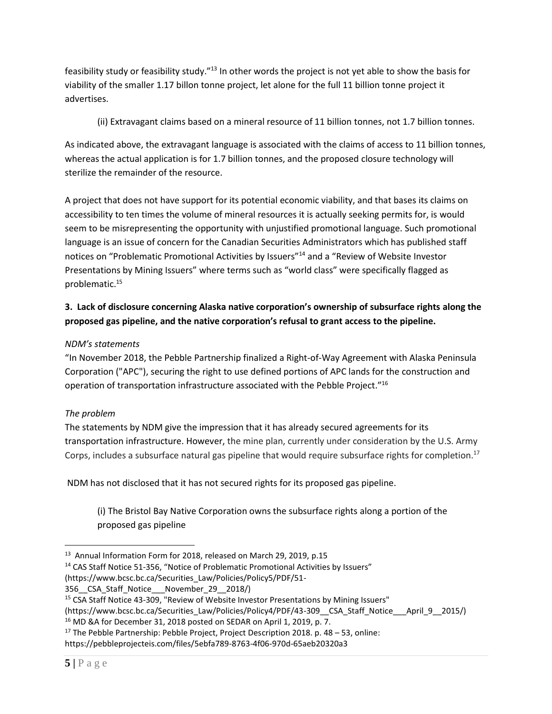feasibility study or feasibility study."<sup>13</sup> In other words the project is not yet able to show the basis for viability of the smaller 1.17 billon tonne project, let alone for the full 11 billion tonne project it advertises.

(ii) Extravagant claims based on a mineral resource of 11 billion tonnes, not 1.7 billion tonnes.

As indicated above, the extravagant language is associated with the claims of access to 11 billion tonnes, whereas the actual application is for 1.7 billion tonnes, and the proposed closure technology will sterilize the remainder of the resource.

A project that does not have support for its potential economic viability, and that bases its claims on accessibility to ten times the volume of mineral resources it is actually seeking permits for, is would seem to be misrepresenting the opportunity with unjustified promotional language. Such promotional language is an issue of concern for the Canadian Securities Administrators which has published staff notices on "Problematic Promotional Activities by Issuers"<sup>14</sup> and a "Review of Website Investor Presentations by Mining Issuers" where terms such as "world class" were specifically flagged as problematic. 15

# **3. Lack of disclosure concerning Alaska native corporation's ownership of subsurface rights along the proposed gas pipeline, and the native corporation's refusal to grant access to the pipeline.**

# *NDM's statements*

"In November 2018, the Pebble Partnership finalized a Right-of-Way Agreement with Alaska Peninsula Corporation ("APC"), securing the right to use defined portions of APC lands for the construction and operation of transportation infrastructure associated with the Pebble Project." 16

### *The problem*

The statements by NDM give the impression that it has already secured agreements for its transportation infrastructure. However, the mine plan, currently under consideration by the U.S. Army Corps, includes a subsurface natural gas pipeline that would require subsurface rights for completion.<sup>17</sup>

NDM has not disclosed that it has not secured rights for its proposed gas pipeline.

(i) The Bristol Bay Native Corporation owns the subsurface rights along a portion of the proposed gas pipeline

 $\overline{a}$ <sup>13</sup> Annual Information Form for 2018, released on March 29, 2019, p.15

<sup>&</sup>lt;sup>14</sup> CAS Staff Notice 51-356, "Notice of Problematic Promotional Activities by Issuers"

<sup>(</sup>https://www.bcsc.bc.ca/Securities\_Law/Policies/Policy5/PDF/51-

<sup>356</sup>\_\_CSA\_Staff\_Notice\_\_\_November\_29\_\_2018/)

<sup>&</sup>lt;sup>15</sup> CSA Staff Notice 43-309, "Review of Website Investor Presentations by Mining Issuers"

<sup>(</sup>https://www.bcsc.bc.ca/Securities\_Law/Policies/Policy4/PDF/43-309\_CSA\_Staff\_Notice\_\_\_April\_9\_\_2015/)

<sup>&</sup>lt;sup>16</sup> MD &A for December 31, 2018 posted on SEDAR on April 1, 2019, p. 7.

 $17$  The Pebble Partnership: Pebble Project, Project Description 2018. p. 48 – 53, online:

https://pebbleprojecteis.com/files/5ebfa789-8763-4f06-970d-65aeb20320a3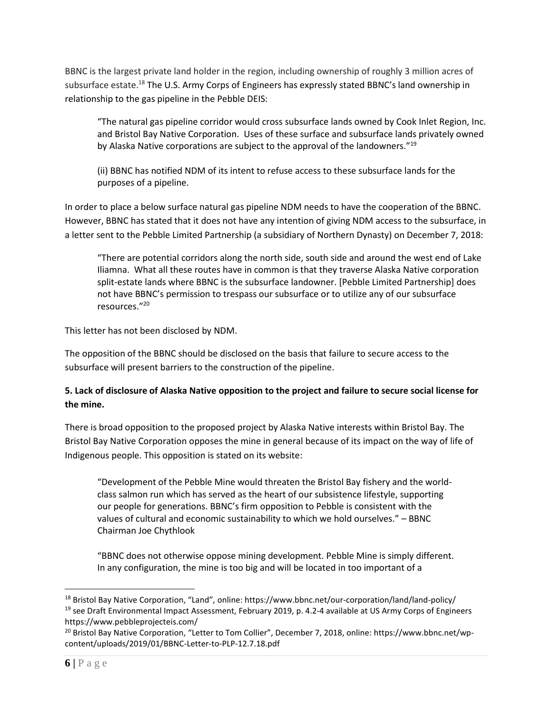BBNC is the largest private land holder in the region, including ownership of roughly 3 million acres of subsurface estate.<sup>18</sup> The U.S. Army Corps of Engineers has expressly stated BBNC's land ownership in relationship to the gas pipeline in the Pebble DEIS:

"The natural gas pipeline corridor would cross subsurface lands owned by Cook Inlet Region, Inc. and Bristol Bay Native Corporation. Uses of these surface and subsurface lands privately owned by Alaska Native corporations are subject to the approval of the landowners."<sup>19</sup>

(ii) BBNC has notified NDM of its intent to refuse access to these subsurface lands for the purposes of a pipeline.

In order to place a below surface natural gas pipeline NDM needs to have the cooperation of the BBNC. However, BBNC has stated that it does not have any intention of giving NDM access to the subsurface, in a letter sent to the Pebble Limited Partnership (a subsidiary of Northern Dynasty) on December 7, 2018:

"There are potential corridors along the north side, south side and around the west end of Lake Iliamna. What all these routes have in common is that they traverse Alaska Native corporation split-estate lands where BBNC is the subsurface landowner. [Pebble Limited Partnership] does not have BBNC's permission to trespass our subsurface or to utilize any of our subsurface resources."<sup>20</sup>

This letter has not been disclosed by NDM.

The opposition of the BBNC should be disclosed on the basis that failure to secure access to the subsurface will present barriers to the construction of the pipeline.

# **5. Lack of disclosure of Alaska Native opposition to the project and failure to secure social license for the mine.**

There is broad opposition to the proposed project by Alaska Native interests within Bristol Bay. The Bristol Bay Native Corporation opposes the mine in general because of its impact on the way of life of Indigenous people. This opposition is stated on its website:

"Development of the Pebble Mine would threaten the Bristol Bay fishery and the worldclass salmon run which has served as the heart of our subsistence lifestyle, supporting our people for generations. BBNC's firm opposition to Pebble is consistent with the values of cultural and economic sustainability to which we hold ourselves." – BBNC Chairman Joe Chythlook

"BBNC does not otherwise oppose mining development. Pebble Mine is simply different. In any configuration, the mine is too big and will be located in too important of a

<sup>18</sup> Bristol Bay Native Corporation, "Land", online: https://www.bbnc.net/our-corporation/land/land-policy/ <sup>19</sup> see Draft Environmental Impact Assessment, February 2019, p. 4.2-4 available at US Army Corps of Engineers https://www.pebbleprojecteis.com/

<sup>&</sup>lt;sup>20</sup> Bristol Bay Native Corporation, "Letter to Tom Collier", December 7, 2018, online: https://www.bbnc.net/wpcontent/uploads/2019/01/BBNC-Letter-to-PLP-12.7.18.pdf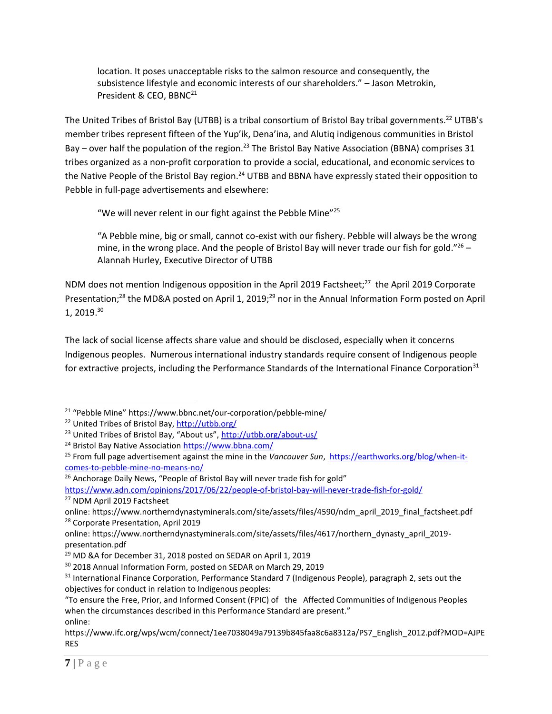location. It poses unacceptable risks to the salmon resource and consequently, the subsistence lifestyle and economic interests of our shareholders." – Jason Metrokin, President & CEO, BBNC<sup>21</sup>

The United Tribes of Bristol Bay (UTBB) is a tribal consortium of Bristol Bay tribal governments.<sup>22</sup> UTBB's member tribes represent fifteen of the Yup'ik, Dena'ina, and Alutiq indigenous communities in Bristol Bay – over half the population of the region.<sup>23</sup> The Bristol Bay Native Association (BBNA) comprises 31 tribes organized as a non-profit corporation to provide a social, educational, and economic services to the Native People of the Bristol Bay region.<sup>24</sup> UTBB and BBNA have expressly stated their opposition to Pebble in full-page advertisements and elsewhere:

"We will never relent in our fight against the Pebble Mine"<sup>25</sup>

"A Pebble mine, big or small, cannot co-exist with our fishery. Pebble will always be the wrong mine, in the wrong place. And the people of Bristol Bay will never trade our fish for gold." $^{26}$  -Alannah Hurley, Executive Director of UTBB

NDM does not mention Indigenous opposition in the April 2019 Factsheet;<sup>27</sup> the April 2019 Corporate Presentation;<sup>28</sup> the MD&A posted on April 1, 2019;<sup>29</sup> nor in the Annual Information Form posted on April 1, 2019.<sup>30</sup>

The lack of social license affects share value and should be disclosed, especially when it concerns Indigenous peoples. Numerous international industry standards require consent of Indigenous people for extractive projects, including the Performance Standards of the International Finance Corporation<sup>31</sup>

<sup>21</sup> "Pebble Mine" https://www.bbnc.net/our-corporation/pebble-mine/

<sup>&</sup>lt;sup>22</sup> United Tribes of Bristol Bay,<http://utbb.org/>

<sup>&</sup>lt;sup>23</sup> United Tribes of Bristol Bay, "About us", <http://utbb.org/about-us/>

<sup>24</sup> Bristol Bay Native Association<https://www.bbna.com/>

<sup>&</sup>lt;sup>25</sup> From full page advertisement against the mine in the *Vancouver Sun*, [https://earthworks.org/blog/when-it](https://earthworks.org/blog/when-it-comes-to-pebble-mine-no-means-no/)[comes-to-pebble-mine-no-means-no/](https://earthworks.org/blog/when-it-comes-to-pebble-mine-no-means-no/)

<sup>&</sup>lt;sup>26</sup> Anchorage Daily News, "People of Bristol Bay will never trade fish for gold"

<https://www.adn.com/opinions/2017/06/22/people-of-bristol-bay-will-never-trade-fish-for-gold/> <sup>27</sup> NDM April 2019 Factsheet

online: https://www.northerndynastyminerals.com/site/assets/files/4590/ndm\_april\_2019\_final\_factsheet.pdf <sup>28</sup> Corporate Presentation, April 2019

online: https://www.northerndynastyminerals.com/site/assets/files/4617/northern\_dynasty\_april\_2019 presentation.pdf

<sup>&</sup>lt;sup>29</sup> MD &A for December 31, 2018 posted on SEDAR on April 1, 2019

<sup>30</sup> 2018 Annual Information Form, posted on SEDAR on March 29, 2019

<sup>&</sup>lt;sup>31</sup> International Finance Corporation, Performance Standard 7 (Indigenous People), paragraph 2, sets out the objectives for conduct in relation to Indigenous peoples:

<sup>&</sup>quot;To ensure the Free, Prior, and Informed Consent (FPIC) of the Affected Communities of Indigenous Peoples when the circumstances described in this Performance Standard are present." online:

https://www.ifc.org/wps/wcm/connect/1ee7038049a79139b845faa8c6a8312a/PS7\_English\_2012.pdf?MOD=AJPE RES